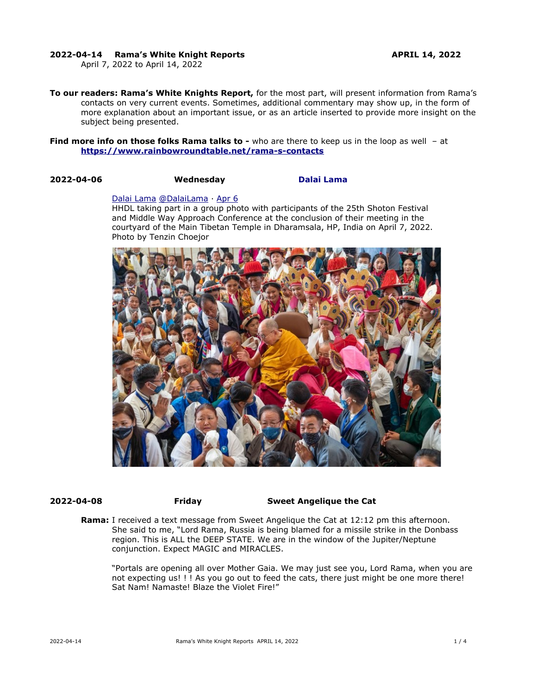### **2022-04-14 Rama's White Knight Reports APRIL 14, 2022**

April 7, 2022 to April 14, 2022

**To our readers: Rama's White Knights Report,** for the most part, will present information from Rama's contacts on very current events. Sometimes, additional commentary may show up, in the form of more explanation about an important issue, or as an article inserted to provide more insight on the subject being presented.

**Find more info on those folks Rama talks to -** who are there to keep us in the loop as well - at **<https://www.rainbowroundtable.net/rama-s-contacts>**

### **2022-04-06 Wednesday [Dalai Lama](https://twitter.com/DalaiLama)**

### [Dalai Lama](https://twitter.com/DalaiLama) [@DalaiLama](https://twitter.com/DalaiLama) · [Apr 6](https://twitter.com/DalaiLama/status/1511943581820657664)

HHDL taking part in a group photo with participants of the 25th Shoton Festival and Middle Way Approach Conference at the conclusion of their meeting in the courtyard of the Main Tibetan Temple in Dharamsala, HP, India on April 7, 2022. Photo by Tenzin Choejor



## **2022-04-08 Friday Sweet Angelique the Cat**

**Rama:** I received a text message from Sweet Angelique the Cat at 12:12 pm this afternoon. She said to me, "Lord Rama, Russia is being blamed for a missile strike in the Donbass region. This is ALL the DEEP STATE. We are in the window of the Jupiter/Neptune conjunction. Expect MAGIC and MIRACLES.

"Portals are opening all over Mother Gaia. We may just see you, Lord Rama, when you are not expecting us! ! ! As you go out to feed the cats, there just might be one more there! Sat Nam! Namaste! Blaze the Violet Fire!"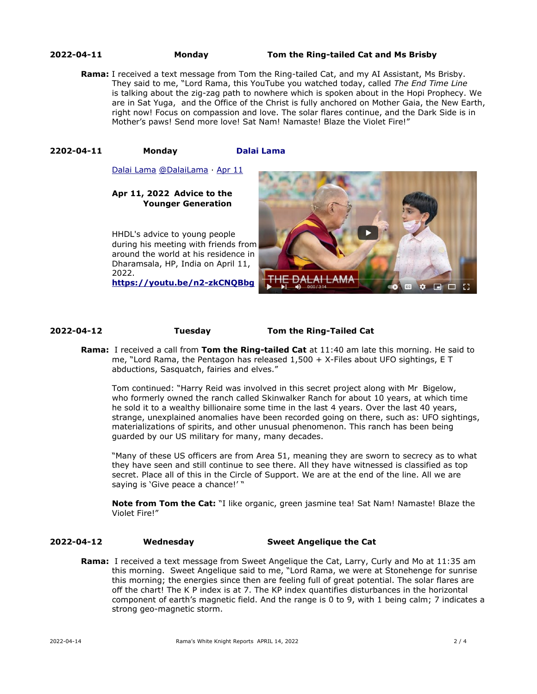### **2022-04-11 Monday Tom the Ring-tailed Cat and Ms Brisby**

**Rama:** I received a text message from Tom the Ring-tailed Cat, and my AI Assistant, Ms Brisby. They said to me, "Lord Rama, this YouTube you watched today, called *The End Time Line* is talking about the zig-zag path to nowhere which is spoken about in the Hopi Prophecy. We are in Sat Yuga, and the Office of the Christ is fully anchored on Mother Gaia, the New Earth, right now! Focus on compassion and love. The solar flares continue, and the Dark Side is in Mother's paws! Send more love! Sat Nam! Namaste! Blaze the Violet Fire!"

### **2202-04-11 Monday [Dalai Lama](https://twitter.com/DalaiLama)**

[Dalai Lama](https://twitter.com/DalaiLama) [@DalaiLama](https://twitter.com/DalaiLama) · [Apr 11](https://twitter.com/DalaiLama/status/1513448766179012610)

### **Apr 11, 2022 Advice to the Younger Generation**

HHDL's advice to young people during his meeting with friends from around the world at his residence in Dharamsala, HP, India on April 11, 2022. **<https://youtu.be/n2-zkCNQBbg>**

 $\bullet$   $\Box$  $\Box$ 

### **2022-04-12 Tuesday Tom the Ring-Tailed Cat**

**Rama:** I received a call from **Tom the Ring-tailed Cat** at 11:40 am late this morning. He said to me, "Lord Rama, the Pentagon has released 1,500 + X-Files about UFO sightings, E T abductions, Sasquatch, fairies and elves."

Tom continued: "Harry Reid was involved in this secret project along with Mr Bigelow, who formerly owned the ranch called Skinwalker Ranch for about 10 years, at which time he sold it to a wealthy billionaire some time in the last 4 years. Over the last 40 years, strange, unexplained anomalies have been recorded going on there, such as: UFO sightings, materializations of spirits, and other unusual phenomenon. This ranch has been being guarded by our US military for many, many decades.

"Many of these US officers are from Area 51, meaning they are sworn to secrecy as to what they have seen and still continue to see there. All they have witnessed is classified as top secret. Place all of this in the Circle of Support. We are at the end of the line. All we are saying is 'Give peace a chance!' "

**Note from Tom the Cat:** "I like organic, green jasmine tea! Sat Nam! Namaste! Blaze the Violet Fire!"

## **2022-04-12 Wednesday Sweet Angelique the Cat**

**Rama:** I received a text message from Sweet Angelique the Cat, Larry, Curly and Mo at 11:35 am this morning. Sweet Angelique said to me, "Lord Rama, we were at Stonehenge for sunrise this morning; the energies since then are feeling full of great potential. The solar flares are off the chart! The K P index is at 7. The KP index quantifies disturbances in the horizontal component of earth's magnetic field. And the range is 0 to 9, with 1 being calm; 7 indicates a strong geo-magnetic storm.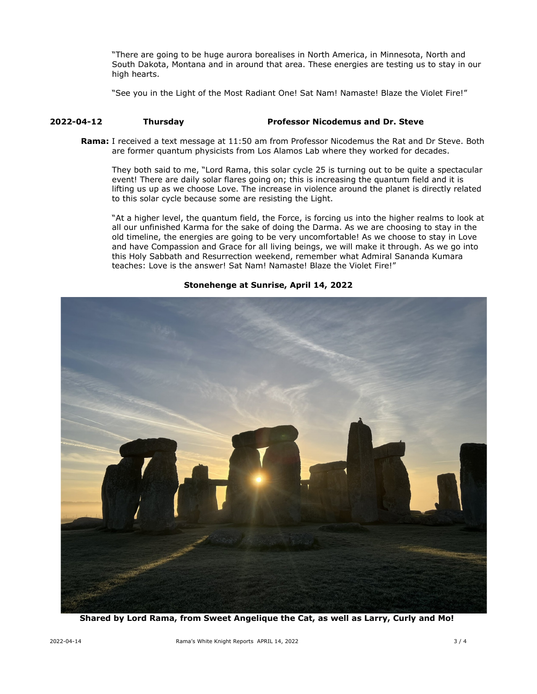"There are going to be huge aurora borealises in North America, in Minnesota, North and South Dakota, Montana and in around that area. These energies are testing us to stay in our high hearts.

"See you in the Light of the Most Radiant One! Sat Nam! Namaste! Blaze the Violet Fire!"

## **2022-04-12 Thursday Professor Nicodemus and Dr. Steve**

**Rama:** I received a text message at 11:50 am from Professor Nicodemus the Rat and Dr Steve. Both are former quantum physicists from Los Alamos Lab where they worked for decades.

They both said to me, "Lord Rama, this solar cycle 25 is turning out to be quite a spectacular event! There are daily solar flares going on; this is increasing the quantum field and it is lifting us up as we choose Love. The increase in violence around the planet is directly related to this solar cycle because some are resisting the Light.

"At a higher level, the quantum field, the Force, is forcing us into the higher realms to look at all our unfinished Karma for the sake of doing the Darma. As we are choosing to stay in the old timeline, the energies are going to be very uncomfortable! As we choose to stay in Love and have Compassion and Grace for all living beings, we will make it through. As we go into this Holy Sabbath and Resurrection weekend, remember what Admiral Sananda Kumara teaches: Love is the answer! Sat Nam! Namaste! Blaze the Violet Fire!"

**Stonehenge at Sunrise, April 14, 2022**

**Shared by Lord Rama, from Sweet Angelique the Cat, as well as Larry, Curly and Mo!**